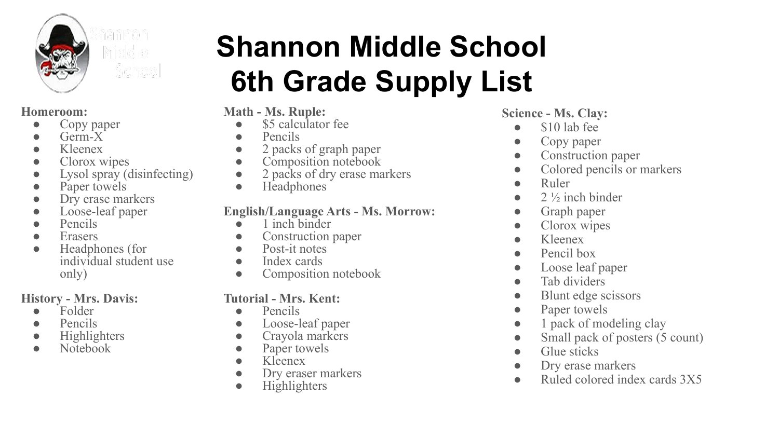

#### **Homeroom:**

- Copy paper
- $\bullet$  Germ- $X^*$
- $\bullet$  Kleenex
- Clorox wipes
- Lysol spray (disinfecting)
- Paper towels
- Dry erase markers
- Loose-leaf paper
- Pencils
- Erasers
- Headphones (for individual student use only)

## **History - Mrs. Davis:**

- Folder
- Pencils
- Highlighters
- Notebook

# **Shannon Middle School 6th Grade Supply List**

## **Math - Ms. Ruple:**

- \$5 calculator fee
- Pencils
- 2 packs of graph paper
- Composition notebook
- 2 packs of dry erase markers
- Headphones

#### **English/Language Arts - Ms. Morrow:**

- $\bullet$  1 inch binder
- Construction paper
- Post-it notes
- Index cards
- Composition notebook

## **Tutorial - Mrs. Kent:**

- Pencils
- Loose-leaf paper
- Crayola markers
- Paper towels
- Kleenex
- Dry eraser markers
- Highlighters

#### **Science - Ms. Clay:**

- $\bullet$  \$10 lab fee
- Copy paper
- Construction paper
- Colored pencils or markers
- Ruler
- $\bullet$  2  $\frac{1}{2}$  inch binder
- Graph paper
- Clorox wipes
- Kleenex
- Pencil box
- Loose leaf paper
- Tab dividers
- Blunt edge scissors
- Paper towels
- 1 pack of modeling clay
- Small pack of posters (5 count)
- Glue sticks
- Dry erase markers
- Ruled colored index cards 3X5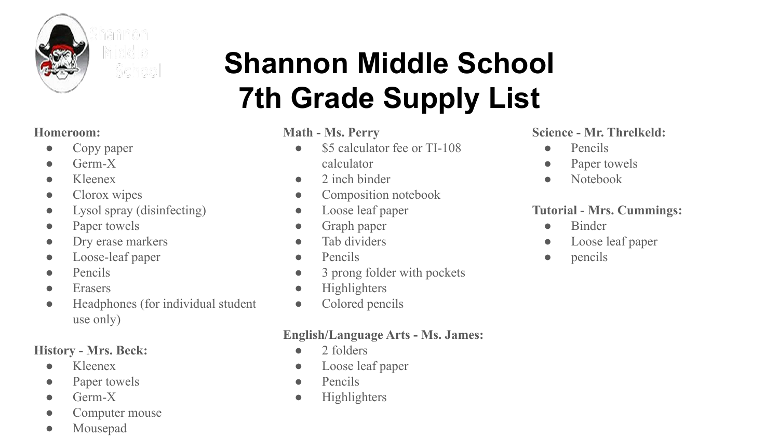

# **Shannon Middle School 7th Grade Supply List**

#### **Homeroom:**

- Copy paper
- $\bullet$  Germ-X
- Kleenex
- Clorox wipes
- Lysol spray (disinfecting)
- Paper towels
- Dry erase markers
- Loose-leaf paper
- Pencils
- Erasers
- Headphones (for individual student use only)

## **History - Mrs. Beck:**

- Kleenex
- Paper towels
- $\bullet$  Germ-X
- Computer mouse
- Mousepad

# **Math - Ms. Perry**

- \$5 calculator fee or TI-108 calculator
- $\bullet$  2 inch binder
- Composition notebook
- Loose leaf paper
- Graph paper
- Tab dividers
- Pencils
- 3 prong folder with pockets
- Highlighters
- Colored pencils

# **English/Language Arts - Ms. James:**

- 2 folders
- Loose leaf paper
- Pencils
- Highlighters

#### **Science - Mr. Threlkeld:**

- Pencils
- Paper towels
- Notebook

# **Tutorial - Mrs. Cummings:**

- Binder
- Loose leaf paper
- pencils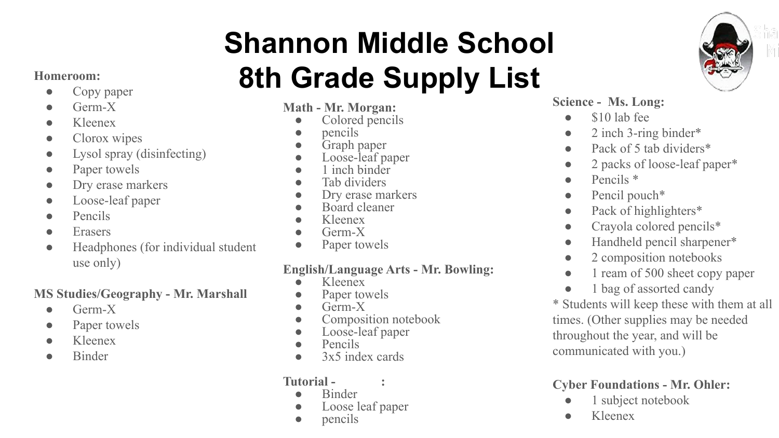# **Shannon Middle School 8th Grade Supply List**

# ● Copy paper

- Germ-X
- Kleenex
- Clorox wipes
- Lysol spray (disinfecting)
- Paper towels
- Dry erase markers
- Loose-leaf paper
- Pencils
- Erasers
- Headphones (for individual student use only)

# **MS Studies/Geography - Mr. Marshall**

- $\bullet$  Germ-X
- Paper towels
- Kleenex
- Binder

#### **Math - Mr. Morgan:**

- Colored pencils
- *pencils*
- Graph paper
- Loose-leaf paper
- 1 inch binder
- Tab dividers
- Dry erase markers
- Board cleaner
- Kleenex
- $Germ-X$
- Paper towels

# **English/Language Arts - Mr. Bowling:**

- Kleenex
- Paper towels
- $\bullet$  Germ-X
- Composition notebook
- Loose-leaf paper
- Pencils
- 3x5 index cards

#### **Tutorial - :**

- **Binder**
- Loose leaf paper
- pencils



# **Science - Ms. Long:**

- \$10 lab fee
- $\bullet$  2 inch 3-ring binder\*
- Pack of 5 tab dividers\*
- 2 packs of loose-leaf paper\*
- $\bullet$  Pencils  $*$
- $\bullet$  Pencil pouch\*
- Pack of highlighters\*
- Crayola colored pencils\*
- Handheld pencil sharpener\*
- 2 composition notebooks
- 1 ream of 500 sheet copy paper
- 1 bag of assorted candy

\* Students will keep these with them at all times. (Other supplies may be needed throughout the year, and will be communicated with you.)

# **Cyber Foundations - Mr. Ohler:**

- 1 subject notebook
- Kleenex

# **Homeroom:**